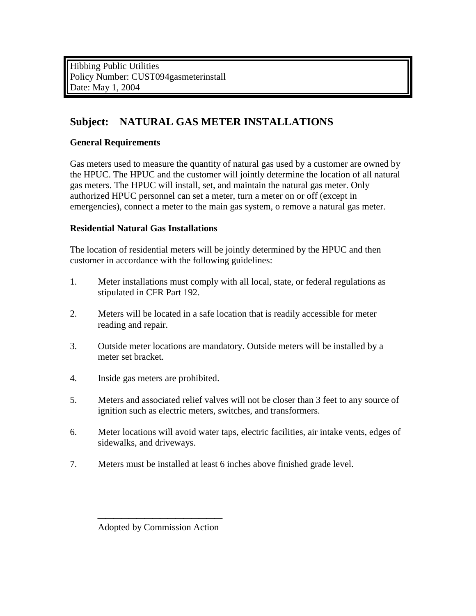Hibbing Public Utilities Policy Number: CUST094gasmeterinstall Date: May 1, 2004

# **Subject: NATURAL GAS METER INSTALLATIONS**

### **General Requirements**

Gas meters used to measure the quantity of natural gas used by a customer are owned by the HPUC. The HPUC and the customer will jointly determine the location of all natural gas meters. The HPUC will install, set, and maintain the natural gas meter. Only authorized HPUC personnel can set a meter, turn a meter on or off (except in emergencies), connect a meter to the main gas system, o remove a natural gas meter.

## **Residential Natural Gas Installations**

The location of residential meters will be jointly determined by the HPUC and then customer in accordance with the following guidelines:

- 1. Meter installations must comply with all local, state, or federal regulations as stipulated in CFR Part 192.
- 2. Meters will be located in a safe location that is readily accessible for meter reading and repair.
- 3. Outside meter locations are mandatory. Outside meters will be installed by a meter set bracket.
- 4. Inside gas meters are prohibited.
- 5. Meters and associated relief valves will not be closer than 3 feet to any source of ignition such as electric meters, switches, and transformers.
- 6. Meter locations will avoid water taps, electric facilities, air intake vents, edges of sidewalks, and driveways.
- 7. Meters must be installed at least 6 inches above finished grade level.

Adopted by Commission Action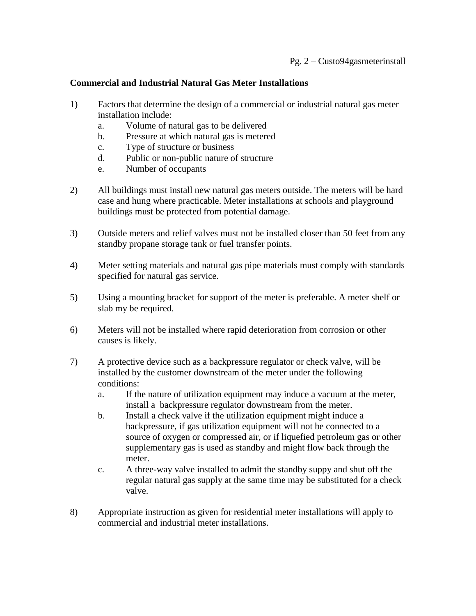### **Commercial and Industrial Natural Gas Meter Installations**

- 1) Factors that determine the design of a commercial or industrial natural gas meter installation include:
	- a. Volume of natural gas to be delivered
	- b. Pressure at which natural gas is metered
	- c. Type of structure or business
	- d. Public or non-public nature of structure
	- e. Number of occupants
- 2) All buildings must install new natural gas meters outside. The meters will be hard case and hung where practicable. Meter installations at schools and playground buildings must be protected from potential damage.
- 3) Outside meters and relief valves must not be installed closer than 50 feet from any standby propane storage tank or fuel transfer points.
- 4) Meter setting materials and natural gas pipe materials must comply with standards specified for natural gas service.
- 5) Using a mounting bracket for support of the meter is preferable. A meter shelf or slab my be required.
- 6) Meters will not be installed where rapid deterioration from corrosion or other causes is likely.
- 7) A protective device such as a backpressure regulator or check valve, will be installed by the customer downstream of the meter under the following conditions:
	- a. If the nature of utilization equipment may induce a vacuum at the meter, install a backpressure regulator downstream from the meter.
	- b. Install a check valve if the utilization equipment might induce a backpressure, if gas utilization equipment will not be connected to a source of oxygen or compressed air, or if liquefied petroleum gas or other supplementary gas is used as standby and might flow back through the meter.
	- c. A three-way valve installed to admit the standby suppy and shut off the regular natural gas supply at the same time may be substituted for a check valve.
- 8) Appropriate instruction as given for residential meter installations will apply to commercial and industrial meter installations.